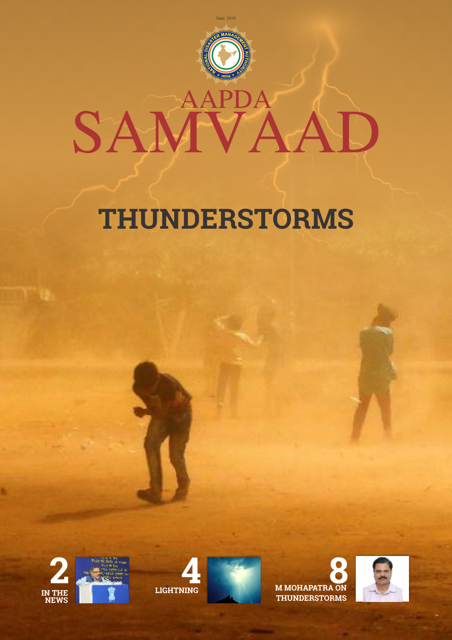

# **THUNDERSTORMS**









**M MOHAPATRA ON 8 THUNDERSTORMS**

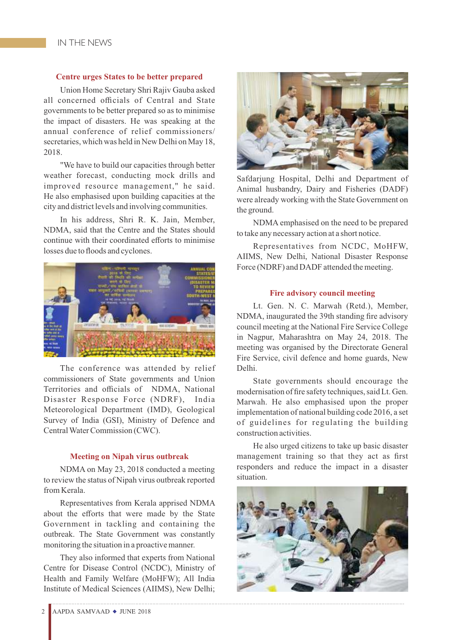#### **Centre urges States to be better prepared**

Union Home Secretary Shri Rajiv Gauba asked all concerned officials of Central and State governments to be better prepared so as to minimise the impact of disasters. He was speaking at the annual conference of relief commissioners/ secretaries, which was held in New Delhi on May 18, 2018.

"We have to build our capacities through better weather forecast, conducting mock drills and improved resource management," he said. He also emphasised upon building capacities at the city and district levels and involving communities.

In his address, Shri R. K. Jain, Member, NDMA, said that the Centre and the States should continue with their coordinated efforts to minimise losses due to floods and cyclones.



The conference was attended by relief commissioners of State governments and Union Territories and officials of NDMA, National Disaster Response Force (NDRF), India Meteorological Department (IMD), Geological Survey of India (GSI), Ministry of Defence and Central Water Commission (CWC).

#### **Meeting on Nipah virus outbreak**

NDMA on May 23, 2018 conducted a meeting to review the status of Nipah virus outbreak reported from Kerala.

Representatives from Kerala apprised NDMA about the efforts that were made by the State Government in tackling and containing the outbreak. The State Government was constantly monitoring the situation in a proactive manner.

They also informed that experts from National Centre for Disease Control (NCDC), Ministry of Health and Family Welfare (MoHFW); All India Institute of Medical Sciences (AIIMS), New Delhi;



Safdarjung Hospital, Delhi and Department of Animal husbandry, Dairy and Fisheries (DADF) were already working with the State Government on the ground.

NDMA emphasised on the need to be prepared to take any necessary action at a short notice.

Representatives from NCDC, MoHFW, AIIMS, New Delhi, National Disaster Response Force (NDRF) and DADF attended the meeting.

#### **Fire advisory council meeting**

Lt. Gen. N. C. Marwah (Retd.), Member, NDMA, inaugurated the 39th standing fire advisory council meeting at the National Fire Service College in Nagpur, Maharashtra on May 24, 2018. The meeting was organised by the Directorate General Fire Service, civil defence and home guards, New Delhi.

State governments should encourage the modernisation of fire safety techniques, said Lt. Gen. Marwah. He also emphasised upon the proper implementation of national building code 2016, a set of guidelines for regulating the building construction activities.

He also urged citizens to take up basic disaster management training so that they act as first responders and reduce the impact in a disaster situation.

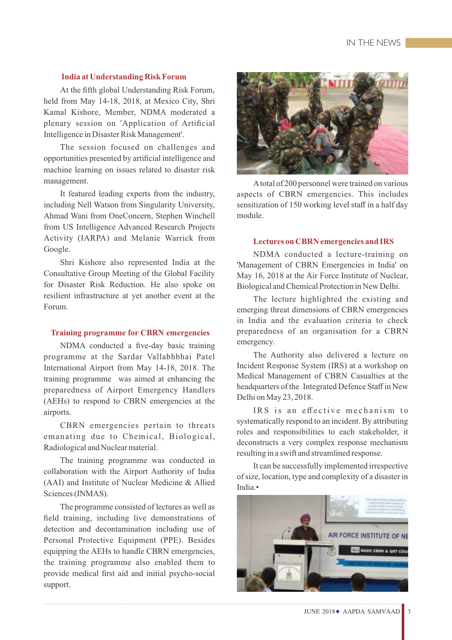#### **India at Understanding Risk Forum**

At the fifth global Understanding Risk Forum, held from May 14-18, 2018, at Mexico City, Shri Kamal Kishore, Member, NDMA moderated a plenary session on 'Application of Artificial Intelligence in Disaster Risk Management'.

The session focused on challenges and opportunities presented by artificial intelligence and machine learning on issues related to disaster risk management.

It featured leading experts from the industry, including Nell Watson from Singularity University, Ahmad Wani from OneConcern, Stephen Winchell from US Intelligence Advanced Research Projects Activity (IARPA) and Melanie Warrick from Google.

Shri Kishore also represented India at the Consultative Group Meeting of the Global Facility for Disaster Risk Reduction. He also spoke on resilient infrastructure at yet another event at the Forum.

#### **Training programme for CBRN emergencies**

NDMA conducted a five-day basic training programme at the Sardar Vallabhbhai Patel International Airport from May 14-18, 2018. The training programme was aimed at enhancing the preparedness of Airport Emergency Handlers (AEHs) to respond to CBRN emergencies at the airports.

CBRN emergencies pertain to threats emanating due to Chemical, Biological, Radiological and Nuclear material.

The training programme was conducted in collaboration with the Airport Authority of India (AAI) and Institute of Nuclear Medicine & Allied Sciences (INMAS).

The programme consisted of lectures as well as field training, including live demonstrations of detection and decontamination including use of Personal Protective Equipment (PPE). Besides equipping the AEHs to handle CBRN emergencies, the training programme also enabled them to provide medical first aid and initial psycho-social support.



Atotal of 200 personnel were trained on various aspects of CBRN emergencies. This includes sensitization of 150 working level staff in a half day module.

#### **Lectures on CBRN emergencies and IRS**

NDMA conducted a lecture-training on 'Management of CBRN Emergencies in India' on May 16, 2018 at the Air Force Institute of Nuclear, Biological and Chemical Protection in New Delhi.

The lecture highlighted the existing and emerging threat dimensions of CBRN emergencies in India and the evaluation criteria to check preparedness of an organisation for a CBRN emergency.

The Authority also delivered a lecture on Incident Response System (IRS) at a workshop on Medical Management of CBRN Casualties at the headquarters of the Integrated Defence Staff in New Delhi on May 23, 2018.

IRS is an effective mechanism to systematically respond to an incident. By attributing roles and responsibilities to each stakeholder, it deconstructs a very complex response mechanism resulting in a swift and streamlined response.

It can be successfully implemented irrespective of size, location, type and complexity of a disaster in India.•

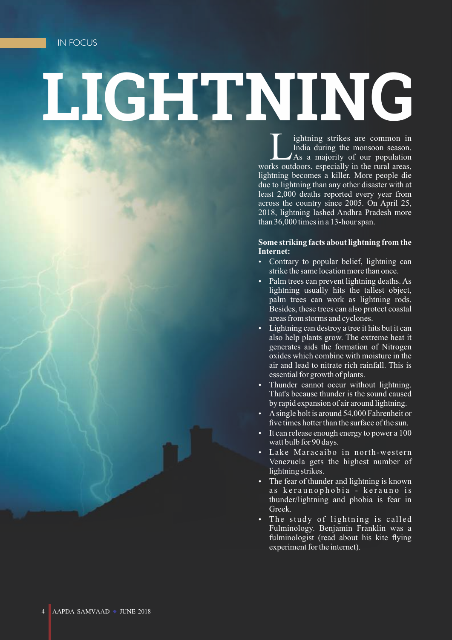# **LIGHTNING**

If ightning strikes are common in India during the monsoon season.<br>As a majority of our population rks outdoors, especially in the rural areas. As a majority of our population works outdoors, especially in the rural areas, lightning becomes a killer. More people die due to lightning than any other disaster with at least 2,000 deaths reported every year from across the country since 2005. On April 25, 2018, lightning lashed Andhra Pradesh more than 36,000 times in a 13-hour span.

#### **Some striking facts about lightning from the Internet:**

- Contrary to popular belief, lightning can strike the same location more than once.
- Palm trees can prevent lightning deaths. As lightning usually hits the tallest object, palm trees can work as lightning rods. Besides, these trees can also protect coastal areas from storms and cyclones.
- Lightning can destroy a tree it hits but it can also help plants grow. The extreme heat it generates aids the formation of Nitrogen oxides which combine with moisture in the air and lead to nitrate rich rainfall. This is essential for growth of plants.
- Thunder cannot occur without lightning. That's because thunder is the sound caused by rapid expansion of air around lightning.
- A single bolt is around 54,000 Fahrenheit or five times hotter than the surface of the sun.
- It can release enough energy to power a 100 watt bulb for 90 days.
- Lake Maracaibo in north-western Venezuela gets the highest number of lightning strikes.
- The fear of thunder and lightning is known as keraunophobia - kerauno is thunder/lightning and phobia is fear in Greek.
- The study of lightning is called Fulminology. Benjamin Franklin was a fulminologist (read about his kite flying experiment for the internet).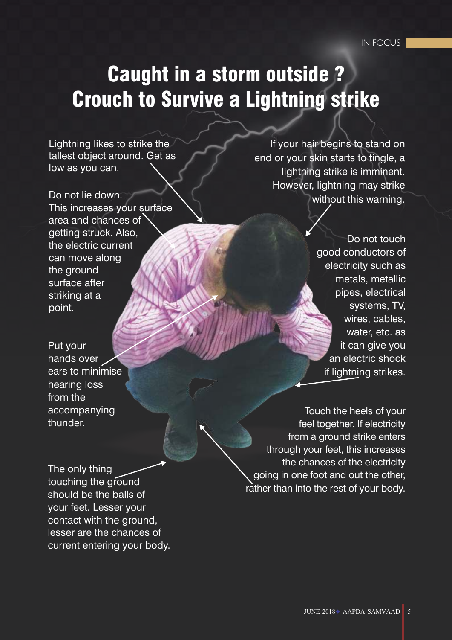### Caught in a storm outside ? Crouch to Survive a Lightning strike

Lightning likes to strike the tallest object around. Get as low as you can.

Do not lie down. This increases your surface area and chances of getting struck. Also, the electric current can move along the ground surface after striking at a point.

Put your hands over ears to minimise hearing loss from the accompanying thunder.

 If your hair begins to stand on end or your skin starts to tingle, a lightning strike is imminent. However, lightning may strike without this warning.

> Do not touch good conductors of electricity such as metals, metallic pipes, electrical systems, TV, wires, cables, water, etc. as it can give you an electric shock if lightning strikes.

Touch the heels of your feel together. If electricity from a ground strike enters through your feet, this increases the chances of the electricity going in one foot and out the other, rather than into the rest of your body.

The only thing touching the ground should be the balls of your feet. Lesser your contact with the ground, lesser are the chances of current entering your body.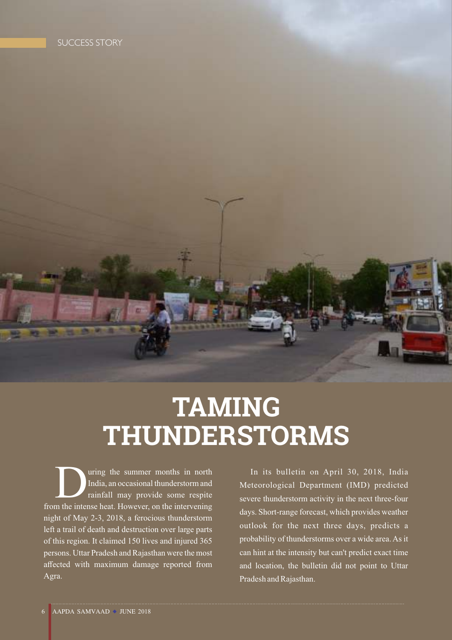## **TAMING THUNDERSTORMS**

India, an occasional thunderstorm and<br>
rainfall may provide some respite<br>
m the intense heat. However, on the intervening rainfall may provide some respite from the intense heat. However, on the intervening night of May 2-3, 2018, a ferocious thunderstorm left a trail of death and destruction over large parts of this region. It claimed 150 lives and injured 365 persons. Uttar Pradesh and Rajasthan were the most affected with maximum damage reported from Agra.

In its bulletin on April 30, 2018, India Meteorological Department (IMD) predicted severe thunderstorm activity in the next three-four days. Short-range forecast, which provides weather outlook for the next three days, predicts a probability of thunderstorms over a wide area. As it can hint at the intensity but can't predict exact time and location, the bulletin did not point to Uttar Pradesh and Rajasthan.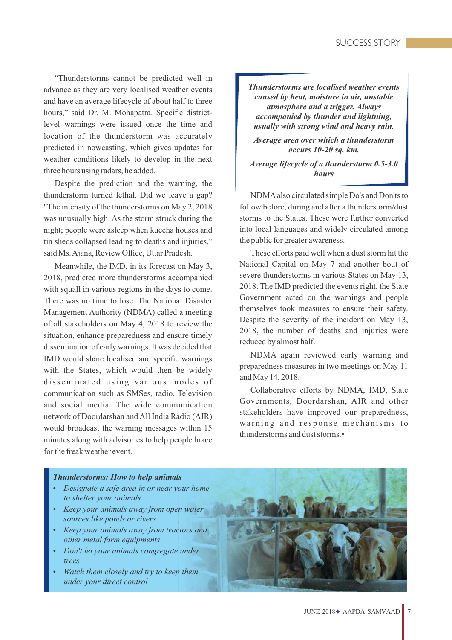"Thunderstorms cannot be predicted well in advance as they are very localised weather events and have an average lifecycle of about half to three hours," said Dr. M. Mohapatra. Specific districtlevel warnings were issued once the time and location of the thunderstorm was accurately predicted in nowcasting, which gives updates for weather conditions likely to develop in the next three hours using radars, he added.

Despite the prediction and the warning, the thunderstorm turned lethal. Did we leave a gap? "The intensity of the thunderstorms on May 2, 2018 was unusually high. As the storm struck during the night; people were asleep when kuccha houses and tin sheds collapsed leading to deaths and injuries," said Ms. Ajana, Review Office, Uttar Pradesh.

Meanwhile, the IMD, in its forecast on May 3, 2018, predicted more thunderstorms accompanied with squall in various regions in the days to come. There was no time to lose. The National Disaster Management Authority (NDMA) called a meeting of all stakeholders on May 4, 2018 to review the situation, enhance preparedness and ensure timely dissemination of early warnings. It was decided that IMD would share localised and specific warnings with the States, which would then be widely disseminated using various modes of communication such as SMSes, radio, Television and social media. The wide communication network of Doordarshan and All India Radio (AIR) would broadcast the warning messages within 15 minutes along with advisories to help people brace for the freak weather event.

*Thunderstorms are localised weather events caused by heat, moisture in air, unstable atmosphere and a trigger. Always accompanied by thunder and lightning, usually with strong wind and heavy rain.* 

*Average area over which a thunderstorm occurs 10-20 sq. km.*

*Average lifecycle of a thunderstorm 0.5-3.0 hours* 

NDMAalso circulated simple Do's and Don'ts to follow before, during and after a thunderstorm/dust storms to the States. These were further converted into local languages and widely circulated among the public for greater awareness.

These efforts paid well when a dust storm hit the National Capital on May 7 and another bout of severe thunderstorms in various States on May 13, 2018. The IMD predicted the events right, the State Government acted on the warnings and people themselves took measures to ensure their safety. Despite the severity of the incident on May 13, 2018, the number of deaths and injuries were reduced by almost half.

NDMA again reviewed early warning and preparedness measures in two meetings on May 11 and May 14, 2018.

Collaborative efforts by NDMA, IMD, State Governments, Doordarshan, AIR and other stakeholders have improved our preparedness, warning and response mechanisms to thunderstorms and dust storms.•

#### *Thunderstorms: How to help animals*

- **•** *Designate a safe area in or near your home to shelter your animals*
- *Keep your animals away from open water sources like ponds or rivers*
- *Keep your animals away from tractors and other metal farm equipments*
- $\cdot$  *Don't let your animals congregate under trees*
- *Watch them closely and try to keep them under your direct control*

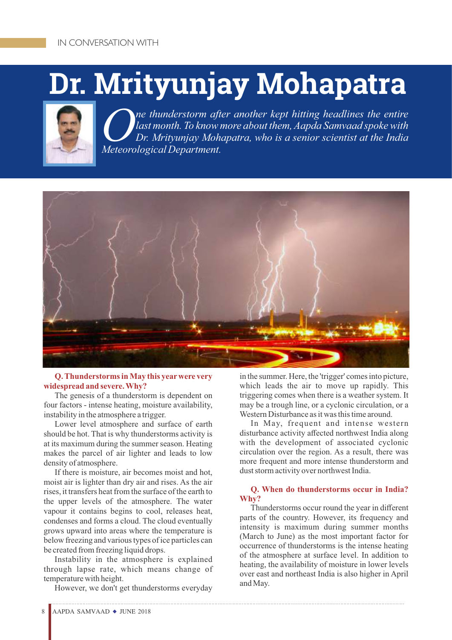# **Dr. Mrityunjay Mohapatra**



*ne thunderstorm after another kept hitting headlines the entire*<br>*last month. To know more about them, Aapda Samvaad spoke with Dr. Mrityunjay Mohapatra, who is a senior scientist at the India Meteorological Department.*



#### **Q. Thunderstorms in May this yearwere very widespread and severe. Why?**

The genesis of a thunderstorm is dependent on four factors - intense heating, moisture availability, instability in the atmosphere a trigger.

Lower level atmosphere and surface of earth should be hot. That is why thunderstorms activity is at its maximum during the summer season. Heating makes the parcel of air lighter and leads to low density of atmosphere.

If there is moisture, air becomes moist and hot, moist air is lighter than dry air and rises. As the air rises, it transfers heat from the surface of the earth to the upper levels of the atmosphere. The water vapour it contains begins to cool, releases heat, condenses and forms a cloud. The cloud eventually grows upward into areas where the temperature is below freezing and various types of ice particles can be created from freezing liquid drops.

Instability in the atmosphere is explained through lapse rate, which means change of temperature with height.

However, we don't get thunderstorms everyday

in the summer. Here, the 'trigger' comes into picture, which leads the air to move up rapidly. This triggering comes when there is a weather system. It may be a trough line, or a cyclonic circulation, or a Western Disturbance as it was this time around.

In May, frequent and intense western disturbance activity affected northwest India along with the development of associated cyclonic circulation over the region. As a result, there was more frequent and more intense thunderstorm and dust storm activity over northwest India.

#### **Q. When do thunderstorms occur in India? Why?**

Thunderstorms occur round the year in different parts of the country. However, its frequency and intensity is maximum during summer months (March to June) as the most important factor for occurrence of thunderstorms is the intense heating of the atmosphere at surface level. In addition to heating, the availability of moisture in lower levels over east and northeast India is also higher in April and May.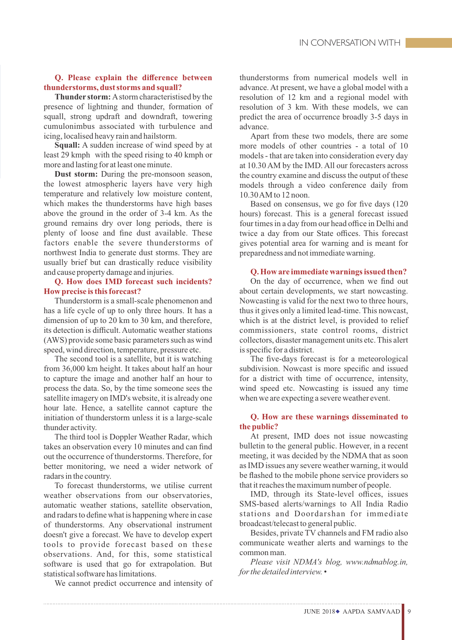#### **Q. Please explain the difference between thunderstorms, dust storms and squall?**

**Thunder storm:** Astorm characteristised by the presence of lightning and thunder, formation of squall, strong updraft and downdraft, towering cumulonimbus associated with turbulence and icing, localised heavy rain and hailstorm.

**Squall:** A sudden increase of wind speed by at least 29 kmph with the speed rising to 40 kmph or more and lasting for at least one minute.

**Dust storm:** During the pre-monsoon season, the lowest atmospheric layers have very high temperature and relatively low moisture content, which makes the thunderstorms have high bases above the ground in the order of 3-4 km. As the ground remains dry over long periods, there is plenty of loose and fine dust available. These factors enable the severe thunderstorms of northwest India to generate dust storms. They are usually brief but can drastically reduce visibility and cause property damage and injuries.

#### **Q. How does IMD forecast such incidents? How precise is this forecast?**

Thunderstorm is a small-scale phenomenon and has a life cycle of up to only three hours. It has a dimension of up to 20 km to 30 km, and therefore, its detection is difficult. Automatic weather stations (AWS) provide some basic parameters such as wind speed, wind direction, temperature, pressure etc.

The second tool is a satellite, but it is watching from 36,000 km height. It takes about half an hour to capture the image and another half an hour to process the data. So, by the time someone sees the satellite imagery on IMD's website, it is already one hour late. Hence, a satellite cannot capture the initiation of thunderstorm unless it is a large-scale thunder activity.

The third tool is Doppler Weather Radar, which takes an observation every 10 minutes and can find out the occurrence of thunderstorms. Therefore, for better monitoring, we need a wider network of radars in the country.

To forecast thunderstorms, we utilise current weather observations from our observatories, automatic weather stations, satellite observation, and radars to define what is happening where in case of thunderstorms. Any observational instrument doesn't give a forecast. We have to develop expert tools to provide forecast based on these observations. And, for this, some statistical software is used that go for extrapolation. But statistical software has limitations.

We cannot predict occurrence and intensity of

thunderstorms from numerical models well in advance. At present, we have a global model with a resolution of 12 km and a regional model with resolution of 3 km. With these models, we can predict the area of occurrence broadly 3-5 days in advance.

Apart from these two models, there are some more models of other countries - a total of 10 models - that are taken into consideration every day at 10.30 AM by the IMD. All our forecasters across the country examine and discuss the output of these models through a video conference daily from 10.30 AM to 12 noon.

Based on consensus, we go for five days (120 hours) forecast. This is a general forecast issued four times in a day from our head office in Delhi and twice a day from our State offices. This forecast gives potential area for warning and is meant for preparedness and not immediate warning.

#### **Q. How are immediate warnings issued then?**

On the day of occurrence, when we find out about certain developments, we start nowcasting. Nowcasting is valid for the next two to three hours, thus it gives only a limited lead-time. This nowcast, which is at the district level, is provided to relief commissioners, state control rooms, district collectors, disaster management units etc. This alert is specific for a district.

The five-days forecast is for a meteorological subdivision. Nowcast is more specific and issued for a district with time of occurrence, intensity, wind speed etc. Nowcasting is issued any time when we are expecting a severe weather event.

#### **Q. How are these warnings disseminated to the public?**

At present, IMD does not issue nowcasting bulletin to the general public. However, in a recent meeting, it was decided by the NDMA that as soon as IMD issues any severe weather warning, it would be flashed to the mobile phone service providers so that it reaches the maximum number of people.

IMD, through its State-level offices, issues SMS-based alerts/warnings to All India Radio stations and Doordarshan for immediate broadcast/telecast to general public.

Besides, private TV channels and FM radio also communicate weather alerts and warnings to the common man.

*Please visit NDMA's blog, www.ndmablog.in, for the detailed interview.* •